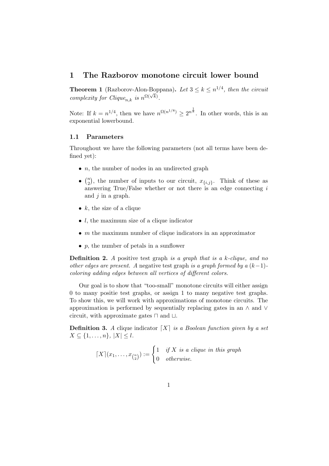# 1 The Razborov monotone circuit lower bound

**Theorem 1** (Razborov-Alon-Boppana). Let  $3 \leq k \leq n^{1/4}$ , then the circuit complexity for Clique<sub>n,k</sub> is  $n^{\Omega(\sqrt{k})}$ .

Note: If  $k = n^{1/4}$ , then we have  $n^{\Omega(n^{1/8})} \geq 2^{n^{\frac{1}{8}}}$ . In other words, this is an exponential lowerbound.

#### 1.1 Parameters

Throughout we have the following parameters (not all terms have been defined yet):

- $\bullet$  *n*, the number of nodes in an undirected graph
- $\bullet$   $\binom{n}{2}$  $\binom{n}{2}$ , the number of inputs to our circuit,  $x_{\{i,j\}}$ . Think of these as answering True/False whether or not there is an edge connecting  $i$ and  $j$  in a graph.
- $k$ , the size of a clique
- $\bullet$  l, the maximum size of a clique indicator
- $\bullet$  *m* the maximum number of clique indicators in an approximator
- $p$ , the number of petals in a sunflower

**Definition 2.** A positive test graph is a graph that is a k-clique, and no other edges are present. A negative test graph is a graph formed by  $a (k-1)$ coloring adding edges between all vertices of different colors.

Our goal is to show that "too-small" monotone circuits will either assign 0 to many positie test graphs, or assign 1 to many negative test graphs. To show this, we will work with approximations of monotone circuits. The approximation is performed by sequentially replacing gates in an ∧ and ∨ circuit, with approximate gates ⊓ and ⊔.

**Definition 3.** A clique indicator  $[X]$  is a Boolean function given by a set  $X \subseteq \{1, \ldots, n\}, |X| \leq l.$ 

$$
\lceil X \rceil(x_1, \ldots, x_{\binom{n}{2}}) := \begin{cases} 1 & \text{if } X \text{ is a clique in this graph} \\ 0 & \text{otherwise.} \end{cases}
$$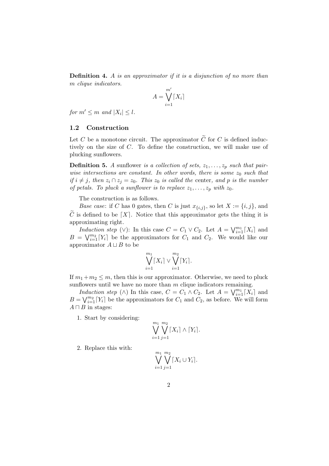Definition 4. A is an approximator if it is a disjunction of no more than m clique indicators.

$$
A = \bigvee_{i=1}^{m'} \lceil X_i \rceil
$$

for  $m' \leq m$  and  $|X_i| \leq l$ .

### 1.2 Construction

Let C be a monotone circuit. The approximator  $\tilde{C}$  for C is defined inductively on the size of C. To define the construction, we will make use of plucking sunflowers.

**Definition 5.** A sunflower is a collection of sets,  $z_1, \ldots, z_p$  such that pairwise intersections are constant. In other words, there is some  $z_0$  such that if  $i \neq j$ , then  $z_i \cap z_j = z_0$ . This  $z_0$  is called the center, and p is the number of petals. To pluck a sunflower is to replace  $z_1, \ldots, z_p$  with  $z_0$ .

The construction is as follows.

*Base case:* if C has 0 gates, then C is just  $x_{\{i,j\}}$ , so let  $X := \{i, j\}$ , and  $\widetilde{C}$  is defined to be  $\lceil X \rceil$ . Notice that this approximator gets the thing it is approximating right.

Induction step (∨): In this case  $C = C_1 \vee C_2$ . Let  $A = \bigvee_{i=1}^{m_1} [X_i]$  and  $B = \bigvee_{i=1}^{m_2} [Y_i]$  be the approximators for  $C_1$  and  $C_2$ . We would like our approximator  $A \sqcup B$  to be

$$
\bigvee_{i=1}^{m_1} [X_i] \vee \bigvee_{i=1}^{m_2} [Y_i].
$$

If  $m_1+m_2 \leq m$ , then this is our approximator. Otherwise, we need to pluck sunflowers until we have no more than  $m$  clique indicators remaining.

Induction step ( $\wedge$ ) In this case,  $C = C_1 \wedge C_2$ . Let  $A = \bigvee_{i=1}^{m_1} [X_i]$  and  $B = \bigvee_{i=1}^{m_2} [Y_i]$  be the approximators for  $C_1$  and  $C_2$ , as before. We will form  $A \sqcap B$  in stages:

1. Start by considering:

$$
\bigvee_{i=1}^{m_1} \bigvee_{j=1}^{m_2} \lceil X_i \rceil \wedge \lceil Y_i \rceil.
$$

2. Replace this with:

$$
\bigvee_{i=1}^{m_1} \bigvee_{j=1}^{m_2} \lceil X_i \cup Y_i \rceil.
$$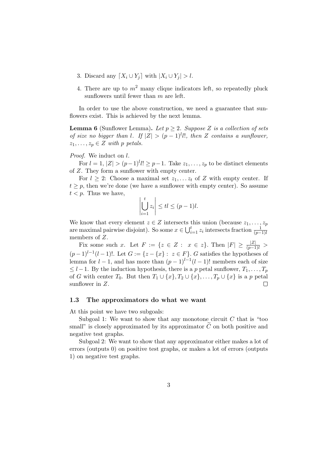- 3. Discard any  $[X_i \cup Y_j]$  with  $|X_i \cup Y_j| > l$ .
- 4. There are up to  $m^2$  many clique indicators left, so repeatedly pluck sunflowers until fewer than  $m$  are left.

In order to use the above construction, we need a guarantee that sunflowers exist. This is achieved by the next lemma.

**Lemma 6** (Sunflower Lemma). Let  $p \geq 2$ . Suppose Z is a collection of sets of size no bigger than l. If  $|Z| > (p-1)^l l!$ , then Z contains a sunflower,  $z_1, \ldots, z_p \in Z$  with p petals.

#### Proof. We induct on  $l$ .

For  $l = 1, |Z| > (p-1)^l l! \geq p-1$ . Take  $z_1, \ldots, z_p$  to be distinct elements of Z. They form a sunflower with empty center.

For  $l \geq 2$ : Choose a maximal set  $z_1, \ldots z_t$  of Z with empty center. If  $t \geq p$ , then we're done (we have a sunflower with empty center). So assume  $t < p$ . Thus we have,

$$
\left|\bigcup_{i=1}^t z_i\right| \leq t \leq (p-1)l.
$$

We know that every element  $z \in Z$  intersects this union (because  $z_1, \ldots, z_p$ ) are maximal pairwise disjoint). So some  $x \in \bigcup_{i=1}^{t} z_i$  intersects fraction  $\frac{1}{(p-1)!}$ members of Z.

Fix some such x. Let  $F := \{z \in Z : x \in z\}$ . Then  $|F| \ge \frac{|Z|}{(p-1)l} >$  $(p-1)^{l-1}(l-1)!$ . Let  $G := \{z - \{x\} : z \in F\}$ . G satisfies the hypotheses of lemma for  $l-1$ , and has more than  $(p-1)^{l-1}(l-1)!$  members each of size  $\leq l-1$ . By the induction hypothesis, there is a p petal sunflower,  $T_1, \ldots, T_p$ of G with center  $T_0$ . But then  $T_1 \cup \{x\}$ ,  $T_2 \cup \{x\}$ , ...,  $T_p \cup \{x\}$  is a p petal sunflower in Z. sunflower in Z.

## 1.3 The approximators do what we want

At this point we have two subgoals:

Subgoal 1: We want to show that any monotone circuit  $C$  that is "too small" is closely approximated by its approximator  $\tilde{C}$  on both positive and negative test graphs.

Subgoal 2: We want to show that any approximator either makes a lot of errors (outputs 0) on positive test graphs, or makes a lot of errors (outputs 1) on negative test graphs.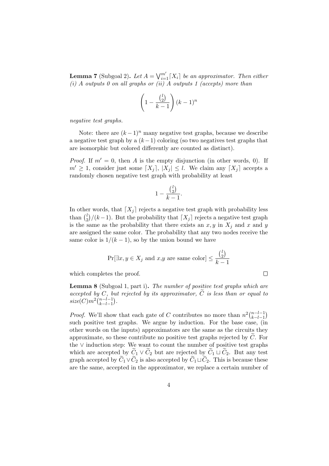**Lemma 7** (Subgoal 2). Let  $A = \bigvee_{i=1}^{m'} [X_i]$  be an approximator. Then either (i) A outputs 0 on all graphs or (ii) A outputs 1 (accepts) more than

$$
\left(1 - \frac{\binom{l}{2}}{k-1}\right)(k-1)^n
$$

negative test graphs.

Note: there are  $(k-1)^n$  many negative test graphs, because we describe a negative test graph by a  $(k-1)$  coloring (so two negatives test graphs that are isomorphic but colored differently are counted as distinct).

*Proof.* If  $m' = 0$ , then A is the empty disjunction (in other words, 0). If  $m' \geq 1$ , consider just some  $[X_i], |X_i| \leq l$ . We claim any  $[X_i]$  accepts a randomly chosen negative test graph with probability at least

$$
1 - \frac{\binom{l}{2}}{k-1}.
$$

In other words, that  $[X_i]$  rejects a negative test graph with probability less than  $\binom{l}{2}$  $\binom{l}{2}/(k-1)$ . But the probability that  $\lceil X_j \rceil$  rejects a negative test graph is the same as the probability that there exists an  $x, y$  in  $X_i$  and x and y are assigned the same color. The probability that any two nodes receive the same color is  $1/(k-1)$ , so by the union bound we have

$$
\Pr[\exists x, y \in X_j \text{ and } x, y \text{ are same color}] \le \frac{\binom{l}{2}}{k-1}
$$

 $\Box$ 

which completes the proof.

Lemma 8 (Subgoal 1, part i). The number of positive test graphs which are accepted by C, but rejected by its approximator,  $\widetilde{C}$  is less than or equal to  $size(C)m^2\binom{n-l-1}{k-l-1}$  $k-l-1$ .

*Proof.* We'll show that each gate of C contributes no more than  $n^2 {n-l-1 \choose k-l-1}$  $k-l-1$  $\lambda$ such positive test graphs. We argue by induction. For the base case, (in other words on the inputs) approximators are the same as the circuits they approximate, so these contribute no positive test graphs rejected by  $\tilde{C}$ . For the ∨ induction step: We want to count the number of positive test graphs which are accepted by  $\widetilde{C}_1 \vee \widetilde{C}_2$  but are rejected by  $\widetilde{C}_1 \sqcup \widetilde{C}_2$ . But any test graph accepted by  $C_1 \vee C_2$  is also accepted by  $C_1 \sqcup C_2$ . This is because these are the same, accepted in the approximator, we replace a certain number of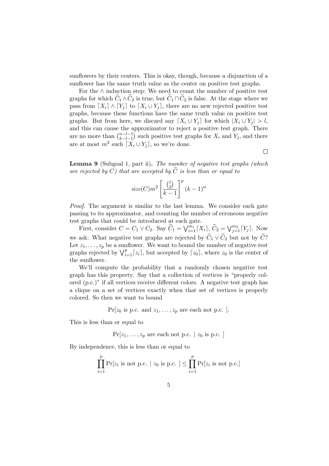sunflowers by their centers. This is okay, though, because a disjunction of a sunflower has the same truth value as the center on positive test graphs.

For the  $\land$  induction step: We need to count the number of positive test graphs for which  $C_1 \wedge C_2$  is true, but  $C_1 \sqcap C_2$  is false. At the stage where we pass from  $[X_i] \wedge [Y_j]$  to  $[X_i \cup Y_j]$ , there are no new rejected positive test graphs, because these functions have the same truth value on positive test graphs. But from here, we discard any  $[X_i \cup Y_j]$  for which  $|X_i \cup Y_j| > l$ , and this can cause the approximator to reject a positive test graph. There are no more than  $\binom{n-l-1}{k-l-1}$  $k-l-1$ ) such positive test graphs for  $X_i$  and  $Y_j$ , and there are at most  $m^2$  such  $[X_i \cup Y_j]$ , so we're done.

 $\Box$ 

Lemma 9 (Subgoal 1, part ii). The number of negative test graphs (which are rejected by  $C$ ) that are accepted by  $C$  is less than or equal to

$$
size(C)m^2\left[\frac{\binom{l}{2}}{k-1}\right]^p (k-1)^n
$$

Proof. The argument is similar to the last lemma. We consider each gate passing to its approximator, and counting the number of erroneous negative test graphs that could be introduced at each gate.

First, consider  $C = C_1 \vee C_2$ . Say  $\widetilde{C}_1 = \bigvee_{i=1}^{m_1} [X_i]$ ,  $\widetilde{C}_2 = \bigvee_{j=1}^{m_2} [Y_j]$ . Now we ask: What negative test graphs are rejected by  $\widetilde{C}_1 \vee \widetilde{C}_2$  but not by  $\widetilde{C}$ ? Let  $z_1, \ldots, z_p$  be a sunflower. We want to bound the number of negative test graphs rejected by  $\bigvee_{i=1}^{p} [z_i]$ , but accepted by  $[z_0]$ , where  $z_0$  is the center of the sunflower.

We'll compute the probability that a randomly chosen negative test graph has this property. Say that a collection of vertices is "properly colored (p.c.)" if all vertices receive different colors. A negative test graph has a clique on a set of vertices exactly when that set of vertices is properly colored. So then we want to bound

 $Pr[z_0 \text{ is p.c. and } z_1, \ldots, z_p \text{ are each not p.c. }].$ 

This is less than or equal to

 $Pr[z_1, \ldots, z_p]$  are each not p.c.  $|z_0|$  is p.c.  $|z_0|$ 

By independence, this is less than or equal to

$$
\prod_{i=1}^{p} \Pr[z_i \text{ is not p.c. } \mid z_0 \text{ is p.c. }] \leq \prod_{i=1}^{p} \Pr[z_i \text{ is not p.c. }]
$$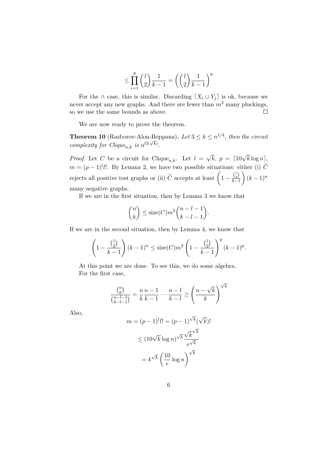$$
\leq \prod_{i=1}^p \binom{l}{2} \frac{1}{k-1} = \left( \binom{l}{2} \frac{1}{k-1} \right)^p
$$

For the  $\land$  case, this is similar. Discarding  $[X_i \cup Y_j]$  is ok, because we never accept any new graphs. And there are fewer than  $m^2$  many pluckings, so we use the same bounds as above.  $\Box$ 

We are now ready to prove the theorem.

**Theorem 10** (Razborov-Alon-Boppana). Let  $3 \leq k \leq n^{1/4}$ , then the circuit complexity for Clique<sub>n,k</sub> is  $n^{\Omega(\sqrt{k})}$ .

*Proof.* Let C be a circuit for Clique<sub>n,k</sub>. Let  $l = \sqrt{k}$ ,  $p = \lceil 10\sqrt{k} \log n \rceil$ ,  $m = (p-1)^l l!$ . By Lemma 2, we have two possible situations: either (i)  $\tilde{C}$ rejects all positive test graphs or (ii)  $\widetilde{C}$  accepts at least  $\left(1 - \frac{\binom{l}{2}}{k-1}\right)$  $k-1$  $\binom{k-1}{n}$ many negative graphs.

If we are in the first situation, then by Lemma 3 we know that

$$
\binom{n}{k} \leq \text{size}(C)m^2 \binom{n-l-1}{k-l-1}.
$$

If we are in the second situation, then by Lemma 4, we know that

$$
\left(1 - \frac{\binom{l}{2}}{k-1}\right)(k-1)^n \leq \text{size}(C)m^2 \left(1 - \frac{\binom{l}{2}}{k-1}\right)^p (k-1)^p.
$$

At this point we are done. To see this, we do some algebra. For the first case,

$$
\frac{\binom{n}{k}}{\binom{n-l-1}{k-l-1}} = \frac{n}{k} \frac{n-1}{k-1} \cdots \frac{n-l}{k-l} \ge \left(\frac{n-\sqrt{k}}{k}\right)^{\sqrt{k}}
$$

Also,

$$
m = (p-1)^l l! = (p-1)^{\sqrt{k}} (\sqrt{k})!
$$
  

$$
\leq (10\sqrt{k} \log n)^{\sqrt{k}} \frac{\sqrt{k}^{\sqrt{k}}}{e^{\sqrt{k}}}
$$
  

$$
= k^{\sqrt{k}} \left(\frac{10}{e} \log n\right)^{\sqrt{k}}
$$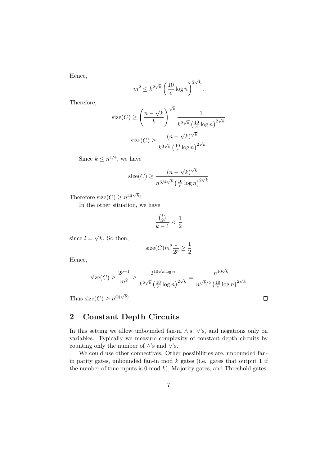Hence,

$$
m^2 \le k^{2\sqrt{k}} \left(\frac{10}{e} \log n\right)^{2\sqrt{k}}
$$

.

Therefore,

$$
\text{size}(C) \ge \left(\frac{n-\sqrt{k}}{k}\right)^{\sqrt{k}} \frac{1}{k^{2\sqrt{k}} \left(\frac{10}{e} \log n\right)^{2\sqrt{k}}}
$$

$$
\text{size}(C) \ge \frac{(n-\sqrt{k})^{\sqrt{k}}}{k^{3\sqrt{k}} \left(\frac{10}{e} \log n\right)^{2\sqrt{k}}}
$$

Since  $k \leq n^{1/4}$ , we have

$$
size(C) \ge \frac{(n - \sqrt{k})^{\sqrt{k}}}{n^{3/4\sqrt{k}} \left(\frac{10}{e} \log n\right)^{2\sqrt{k}}}
$$

Therefore size( $C$ )  $\geq n^{\Omega(\sqrt{k})}$ .

In the other situation, we have

$$
\frac{\binom{l}{2}}{k-1} < \frac{1}{2}
$$

since  $l = \sqrt{k}$ . So then,

$$
\mathrm{size}(C)m^2\frac{1}{2^p}\geq \frac{1}{2}
$$

Hence,

$$
\operatorname{size}(C) \ge \frac{2^{p-1}}{m^2} \ge \frac{2^{10\sqrt{k}\log n}}{k^{2\sqrt{k}} \left(\frac{10}{e}\log n\right)^{2\sqrt{k}}} = \frac{n^{10\sqrt{k}}}{n^{\sqrt{k}}/2 \left(\frac{10}{e}\log n\right)^{2\sqrt{k}}}
$$

 $\Box$ 

Thus size(*C*)  $\geq n^{\Omega(\sqrt{k})}$ .

# 2 Constant Depth Circuits

In this setting we allow unbounded fan-in  $\wedge$ 's,  $\vee$ 's, and negations only on variables. Typically we measure complexity of constant depth circuits by counting only the number of ∧'s and ∨'s.

We could use other connectives. Other possibilities are, unbounded fanin parity gates, unbounded fan-in mod  $k$  gates (i.e. gates that output 1 if the number of true inputs is  $0 \mod k$ , Majority gates, and Threshold gates.